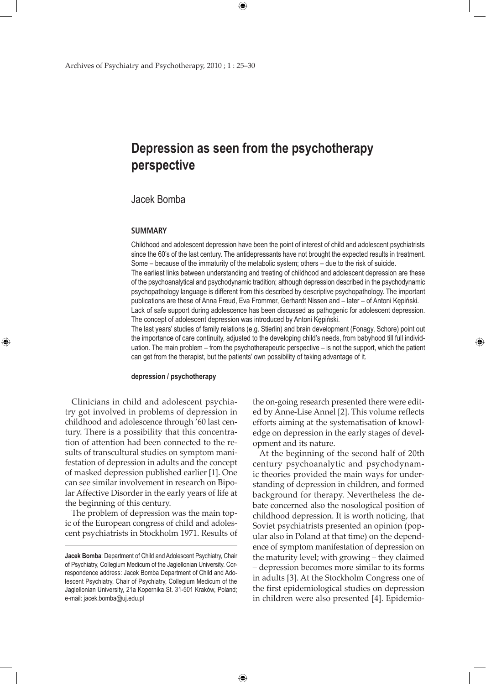# **Depression as seen from the psychotherapy perspective**

 $\bigoplus$ 

## Jacek Bomba

#### **SUMMARY**

⊕

Childhood and adolescent depression have been the point of interest of child and adolescent psychiatrists since the 60's of the last century. The antidepressants have not brought the expected results in treatment. Some – because of the immaturity of the metabolic system; others – due to the risk of suicide.

The earliest links between understanding and treating of childhood and adolescent depression are these of the psychoanalytical and psychodynamic tradition; although depression described in the psychodynamic psychopathology language is different from this described by descriptive psychopathology. The important publications are these of Anna Freud, Eva Frommer, Gerhardt Nissen and – later – of Antoni Kępiński. Lack of safe support during adolescence has been discussed as pathogenic for adolescent depression. The concept of adolescent depression was introduced by Antoni Kępiński.

The last years' studies of family relations (e.g. Stierlin) and brain development (Fonagy, Schore) point out the importance of care continuity, adjusted to the developing child's needs, from babyhood till full individuation. The main problem – from the psychotherapeutic perspective – is not the support, which the patient can get from the therapist, but the patients' own possibility of taking advantage of it.

 $\bigoplus$ 

#### **depression / psychotherapy**

Clinicians in child and adolescent psychiatry got involved in problems of depression in childhood and adolescence through '60 last century. There is a possibility that this concentration of attention had been connected to the results of transcultural studies on symptom manifestation of depression in adults and the concept of masked depression published earlier [1]. One can see similar involvement in research on Bipolar Affective Disorder in the early years of life at the beginning of this century.

The problem of depression was the main topic of the European congress of child and adolescent psychiatrists in Stockholm 1971. Results of the on-going research presented there were edited by Anne-Lise Annel [2]. This volume reflects efforts aiming at the systematisation of knowledge on depression in the early stages of development and its nature.

⊕

At the beginning of the second half of 20th century psychoanalytic and psychodynamic theories provided the main ways for understanding of depression in children, and formed background for therapy. Nevertheless the debate concerned also the nosological position of childhood depression. It is worth noticing, that Soviet psychiatrists presented an opinion (popular also in Poland at that time) on the dependence of symptom manifestation of depression on the maturity level; with growing – they claimed – depression becomes more similar to its forms in adults [3]. At the Stockholm Congress one of the first epidemiological studies on depression in children were also presented [4]. Epidemio-

**Jacek Bomba**: Department of Child and Adolescent Psychiatry, Chair of Psychiatry, Collegium Medicum of the Jagiellonian University. Correspondence address: Jacek Bomba Department of Child and Adolescent Psychiatry, Chair of Psychiatry, Collegium Medicum of the Jagiellonian University, 21a Kopernika St. 31-501 Kraków, Poland; e-mail: jacek.bomba@uj.edu.pl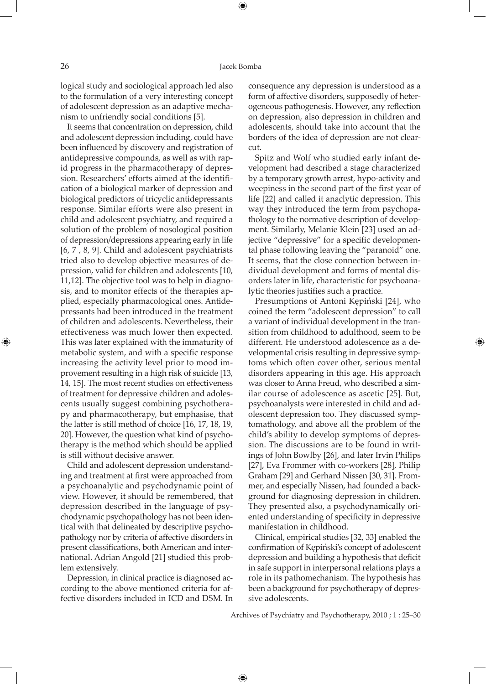logical study and sociological approach led also to the formulation of a very interesting concept of adolescent depression as an adaptive mechanism to unfriendly social conditions [5].

It seems that concentration on depression, child and adolescent depression including, could have been influenced by discovery and registration of antidepressive compounds, as well as with rapid progress in the pharmacotherapy of depression. Researchers' efforts aimed at the identification of a biological marker of depression and biological predictors of tricyclic antidepressants response. Similar efforts were also present in child and adolescent psychiatry, and required a solution of the problem of nosological position of depression/depressions appearing early in life [6, 7 , 8, 9]. Child and adolescent psychiatrists tried also to develop objective measures of depression, valid for children and adolescents [10, 11,12]. The objective tool was to help in diagnosis, and to monitor effects of the therapies applied, especially pharmacological ones. Antidepressants had been introduced in the treatment of children and adolescents. Nevertheless, their effectiveness was much lower then expected. This was later explained with the immaturity of metabolic system, and with a specific response increasing the activity level prior to mood improvement resulting in a high risk of suicide [13, 14, 15]. The most recent studies on effectiveness of treatment for depressive children and adolescents usually suggest combining psychotherapy and pharmacotherapy, but emphasise, that the latter is still method of choice [16, 17, 18, 19, 20]. However, the question what kind of psychotherapy is the method which should be applied is still without decisive answer.

Child and adolescent depression understanding and treatment at first were approached from a psychoanalytic and psychodynamic point of view. However, it should be remembered, that depression described in the language of psychodynamic psychopathology has not been identical with that delineated by descriptive psychopathology nor by criteria of affective disorders in present classifications, both American and international. Adrian Angold [21] studied this problem extensively.

Depression, in clinical practice is diagnosed according to the above mentioned criteria for affective disorders included in ICD and DSM. In

consequence any depression is understood as a form of affective disorders, supposedly of heterogeneous pathogenesis. However, any reflection on depression, also depression in children and adolescents, should take into account that the borders of the idea of depression are not clearcut.

Spitz and Wolf who studied early infant development had described a stage characterized by a temporary growth arrest, hypo-activity and weepiness in the second part of the first year of life [22] and called it anaclytic depression. This way they introduced the term from psychopathology to the normative description of development. Similarly, Melanie Klein [23] used an adjective "depressive" for a specific developmental phase following leaving the "paranoid" one. It seems, that the close connection between individual development and forms of mental disorders later in life, characteristic for psychoanalytic theories justifies such a practice.

Presumptions of Antoni Kępiński [24], who coined the term "adolescent depression" to call a variant of individual development in the transition from childhood to adulthood, seem to be different. He understood adolescence as a developmental crisis resulting in depressive symptoms which often cover other, serious mental disorders appearing in this age. His approach was closer to Anna Freud, who described a similar course of adolescence as ascetic [25]. But, psychoanalysts were interested in child and adolescent depression too. They discussed symptomathology, and above all the problem of the child's ability to develop symptoms of depression. The discussions are to be found in writings of John Bowlby [26], and later Irvin Philips [27], Eva Frommer with co-workers [28], Philip Graham [29] and Gerhard Nissen [30, 31]. Frommer, and especially Nissen, had founded a background for diagnosing depression in children. They presented also, a psychodynamically oriented understanding of specificity in depressive manifestation in childhood.

Clinical, empirical studies [32, 33] enabled the confirmation of Kępiński's concept of adolescent depression and building a hypothesis that deficit in safe support in interpersonal relations plays a role in its pathomechanism. The hypothesis has been a background for psychotherapy of depressive adolescents.

Archives of Psychiatry and Psychotherapy, 2010 ; 1 : 25–30

⊕

⊕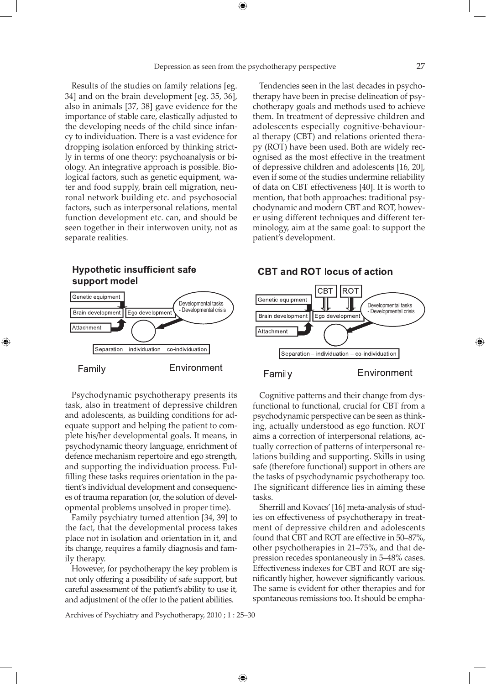$\bigoplus$ 

Results of the studies on family relations [eg. 34] and on the brain development [eg. 35, 36], also in animals [37, 38] gave evidence for the importance of stable care, elastically adjusted to the developing needs of the child since infancy to individuation. There is a vast evidence for dropping isolation enforced by thinking strictly in terms of one theory: psychoanalysis or biology. An integrative approach is possible. Biological factors, such as genetic equipment, water and food supply, brain cell migration, neuronal network building etc. and psychosocial factors, such as interpersonal relations, mental function development etc. can, and should be seen together in their interwoven unity, not as separate realities.



⊕

Psychodynamic psychotherapy presents its task, also in treatment of depressive children and adolescents, as building conditions for adequate support and helping the patient to complete his/her developmental goals. It means, in psychodynamic theory language, enrichment of defence mechanism repertoire and ego strength, and supporting the individuation process. Fulfilling these tasks requires orientation in the patient's individual development and consequences of trauma reparation (or, the solution of developmental problems unsolved in proper time).

Family psychiatry turned attention [34, 39] to the fact, that the developmental process takes place not in isolation and orientation in it, and its change, requires a family diagnosis and family therapy.

However, for psychotherapy the key problem is not only offering a possibility of safe support, but careful assessment of the patient's ability to use it, and adjustment of the offer to the patient abilities.

Tendencies seen in the last decades in psychotherapy have been in precise delineation of psychotherapy goals and methods used to achieve them. In treatment of depressive children and adolescents especially cognitive-behavioural therapy (CBT) and relations oriented therapy (ROT) have been used. Both are widely recognised as the most effective in the treatment of depressive children and adolescents [16, 20], even if some of the studies undermine reliability of data on CBT effectiveness [40]. It is worth to mention, that both approaches: traditional psychodynamic and modern CBT and ROT, however using different techniques and different terminology, aim at the same goal: to support the patient's development.



**CBT and ROT locus of action** 



Environment

⊕

Cognitive patterns and their change from dysfunctional to functional, crucial for CBT from a psychodynamic perspective can be seen as thinking, actually understood as ego function. ROT aims a correction of interpersonal relations, actually correction of patterns of interpersonal relations building and supporting. Skills in using safe (therefore functional) support in others are the tasks of psychodynamic psychotherapy too. The significant difference lies in aiming these tasks.

Sherrill and Kovacs' [16] meta-analysis of studies on effectiveness of psychotherapy in treatment of depressive children and adolescents found that CBT and ROT are effective in 50–87%, other psychotherapies in 21–75%, and that depression recedes spontaneously in 5–48% cases. Effectiveness indexes for CBT and ROT are significantly higher, however significantly various. The same is evident for other therapies and for spontaneous remissions too. It should be empha-

Archives of Psychiatry and Psychotherapy, 2010 ; 1 : 25–30

 $\bigoplus$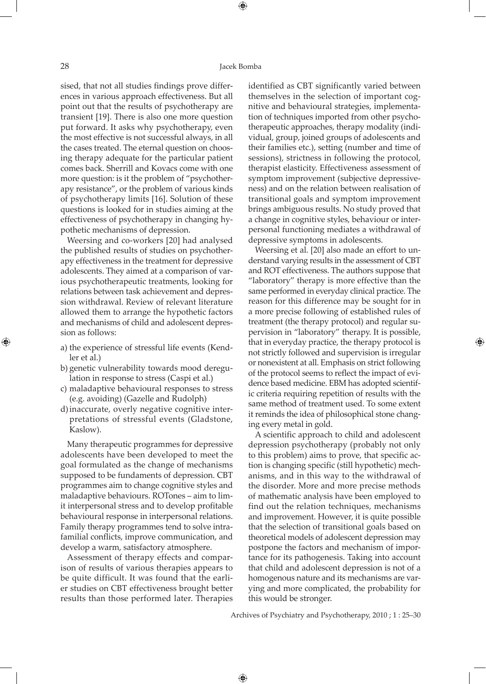#### 28 Jacek Bomba

⊕

sised, that not all studies findings prove differences in various approach effectiveness. But all point out that the results of psychotherapy are transient [19]. There is also one more question put forward. It asks why psychotherapy, even the most effective is not successful always, in all the cases treated. The eternal question on choosing therapy adequate for the particular patient comes back. Sherrill and Kovacs come with one more question: is it the problem of "psychotherapy resistance", or the problem of various kinds of psychotherapy limits [16]. Solution of these questions is looked for in studies aiming at the effectiveness of psychotherapy in changing hypothetic mechanisms of depression.

Weersing and co-workers [20] had analysed the published results of studies on psychotherapy effectiveness in the treatment for depressive adolescents. They aimed at a comparison of various psychotherapeutic treatments, looking for relations between task achievement and depression withdrawal. Review of relevant literature allowed them to arrange the hypothetic factors and mechanisms of child and adolescent depression as follows:

- a) the experience of stressful life events (Kendler et al.)
- b) genetic vulnerability towards mood deregulation in response to stress (Caspi et al.)
- c) maladaptive behavioural responses to stress (e.g. avoiding) (Gazelle and Rudolph)
- d)inaccurate, overly negative cognitive interpretations of stressful events (Gladstone, Kaslow).

Many therapeutic programmes for depressive adolescents have been developed to meet the goal formulated as the change of mechanisms supposed to be fundaments of depression. CBT programmes aim to change cognitive styles and maladaptive behaviours. ROTones – aim to limit interpersonal stress and to develop profitable behavioural response in interpersonal relations. Family therapy programmes tend to solve intrafamilial conflicts, improve communication, and develop a warm, satisfactory atmosphere.

Assessment of therapy effects and comparison of results of various therapies appears to be quite difficult. It was found that the earlier studies on CBT effectiveness brought better results than those performed later. Therapies

identified as CBT significantly varied between themselves in the selection of important cognitive and behavioural strategies, implementation of techniques imported from other psychotherapeutic approaches, therapy modality (individual, group, joined groups of adolescents and their families etc.), setting (number and time of sessions), strictness in following the protocol, therapist elasticity. Effectiveness assessment of symptom improvement (subjective depressiveness) and on the relation between realisation of transitional goals and symptom improvement brings ambiguous results. No study proved that a change in cognitive styles, behaviour or interpersonal functioning mediates a withdrawal of depressive symptoms in adolescents.

Weersing et al. [20] also made an effort to understand varying results in the assessment of CBT and ROT effectiveness. The authors suppose that "laboratory" therapy is more effective than the same performed in everyday clinical practice. The reason for this difference may be sought for in a more precise following of established rules of treatment (the therapy protocol) and regular supervision in "laboratory" therapy. It is possible, that in everyday practice, the therapy protocol is not strictly followed and supervision is irregular or nonexistent at all. Emphasis on strict following of the protocol seems to reflect the impact of evidence based medicine. EBM has adopted scientific criteria requiring repetition of results with the same method of treatment used. To some extent it reminds the idea of philosophical stone changing every metal in gold.

A scientific approach to child and adolescent depression psychotherapy (probably not only to this problem) aims to prove, that specific action is changing specific (still hypothetic) mechanisms, and in this way to the withdrawal of the disorder. More and more precise methods of mathematic analysis have been employed to find out the relation techniques, mechanisms and improvement. However, it is quite possible that the selection of transitional goals based on theoretical models of adolescent depression may postpone the factors and mechanism of importance for its pathogenesis. Taking into account that child and adolescent depression is not of a homogenous nature and its mechanisms are varying and more complicated, the probability for this would be stronger.

Archives of Psychiatry and Psychotherapy, 2010 ; 1 : 25–30

 $\bigoplus$ 

⊕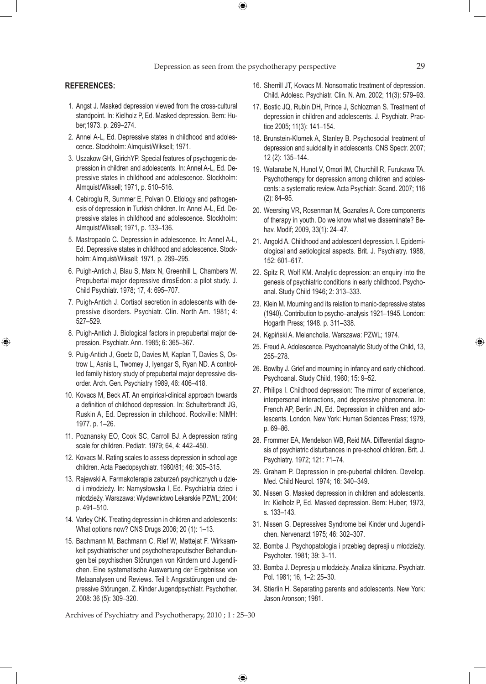$\bigoplus$ 

#### **REFERENCES:**

⊕

- 1. Angst J. Masked depression viewed from the cross-cultural standpoint. In: Kielholz P, Ed. Masked depression. Bern: Huber;1973. p. 269–274.
- 2. Annel A-L, Ed. Depressive states in childhood and adolescence. Stockholm: Almquist/Wiksell; 1971.
- 3. Uszakow GH, GirichYP. Special features of psychogenic depression in children and adolescents. In: Annel A-L, Ed. Depressive states in childhood and adolescence. Stockholm: Almquist/Wiksell; 1971, p. 510–516.
- 4. Cebiroglu R, Summer E, Polvan O. Etiology and pathogenesis of depression in Turkish children. In: Annel A-L, Ed. Depressive states in childhood and adolescence. Stockholm: Almquist/Wiksell; 1971, p. 133–136.
- 5. Mastropaolo C. Depression in adolescence. In: Annel A-L, Ed. Depressive states in childhood and adolescence. Stockholm: Almquist/Wiksell; 1971, p. 289–295.
- 6. Puigh-Antich J, Blau S, Marx N, Greenhill L, Chambers W. Prepubertal major depressive dirosEdon: a pilot study. J. Child Psychiatr. 1978; 17, 4: 695–707.
- 7. Puigh-Antich J. Cortisol secretion in adolescents with depressive disorders. Psychiatr. Clin. North Am. 1981; 4: 527–529.
- 8. Puigh-Antich J. Biological factors in prepubertal major depression. Psychiatr. Ann. 1985; 6: 365–367.
- 9. Puig-Antich J, Goetz D, Davies M, Kaplan T, Davies S, Ostrow L, Asnis L, Twomey J, Iyengar S, Ryan ND. A controlled family history study of prepubertal major depressive disorder. Arch. Gen. Psychiatry 1989, 46: 406–418.
- 10. Kovacs M, Beck AT. An empirical-clinical approach towards a definition of childhood depression. In: Schulterbrandt JG, Ruskin A, Ed. Depression in childhood. Rockville: NIMH: 1977. p. 1–26.
- 11. Poznansky EO, Cook SC, Carroll BJ. A depression rating scale for children. Pediatr. 1979; 64, 4: 442–450.
- 12. Kovacs M. Rating scales to assess depression in school age children. Acta Paedopsychiatr. 1980/81; 46: 305–315.
- 13. Rajewski A. Farmakoterapia zaburzeń psychicznych u dzieci i młodzieży. In: Namysłowska I, Ed. Psychiatria dzieci i młodzieży. Warszawa: Wydawnictwo Lekarskie PZWL; 2004: p. 491–510.
- 14. Varley ChK. Treating depression in children and adolescents: What options now? CNS Drugs 2006; 20 (1): 1–13.
- 15. Bachmann M, Bachmann C, Rief W, Mattejat F. Wirksamkeit psychiatrischer und psychotherapeutischer Behandlungen bei psychischen Störungen von Kindern und Jugendlichen. Eine systematische Auswertung der Ergebnisse von Metaanalysen und Reviews. Teil I: Angststörungen und depressive Störungen. Z. Kinder Jugendpsychiatr. Psychother. 2008: 36 (5): 309–320.

16. Sherrill JT, Kovacs M. Nonsomatic treatment of depression. Child. Adolesc. Psychiatr. Clin. N. Am. 2002; 11(3): 579–93.

- 17. Bostic JQ, Rubin DH, Prince J, Schlozman S. Treatment of depression in children and adolescents. J. Psychiatr. Practice 2005; 11(3): 141–154.
- 18. Brunstein-Klomek A, Stanley B. Psychosocial treatment of depression and suicidality in adolescents. CNS Spectr. 2007; 12 (2): 135–144.
- 19. Watanabe N, Hunot V, Omori IM, Churchill R, Furukawa TA. Psychotherapy for depression among children and adolescents: a systematic review. Acta Psychiatr. Scand. 2007; 116 (2): 84–95.
- 20. Weersing VR, Rosenman M, Goznales A. Core components of therapy in youth. Do we know what we disseminate? Behav. Modif; 2009, 33(1): 24–47.
- 21. Angold A. Childhood and adolescent depression. I. Epidemiological and aetiological aspects. Brit. J. Psychiatry. 1988, 152: 601–617.
- 22. Spitz R, Wolf KM. Analytic depression: an enquiry into the genesis of psychiatric conditions in early childhood. Psychoanal. Study Child 1946; 2: 313–333.
- 23. Klein M. Mourning and its relation to manic-depressive states (1940). Contribution to psycho–analysis 1921–1945. London: Hogarth Press; 1948. p. 311–338.
- 24. Kępiński A. Melancholia. Warszawa: PZWL; 1974.
- 25. Freud A. Adolescence. Psychoanalytic Study of the Child, 13, 255–278.
- 26. Bowlby J. Grief and mourning in infancy and early childhood. Psychoanal. Study Child, 1960; 15: 9–52.
- 27. Philips I. Childhood depression: The mirror of experience, interpersonal interactions, and depressive phenomena. In: French AP, Berlin JN, Ed. Depression in children and adolescents. London, New York: Human Sciences Press; 1979, p. 69–86.
- 28. Frommer EA, Mendelson WB, Reid MA. Differential diagnosis of psychiatric disturbances in pre-school children. Brit. J. Psychiatry. 1972; 121: 71–74.
- 29. Graham P. Depression in pre-pubertal children. Develop. Med. Child Neurol. 1974; 16: 340–349.
- 30. Nissen G. Masked depression in children and adolescents. In: Kielholz P, Ed. Masked depression. Bern: Huber; 1973, s. 133–143.
- 31. Nissen G. Depressives Syndrome bei Kinder und Jugendlichen. Nervenarzt 1975; 46: 302–307.
- 32. Bomba J. Psychopatologia i przebieg depresji u młodzieży. Psychoter. 1981; 39: 3–11.
- 33. Bomba J. Depresja u młodzieży. Analiza kliniczna. Psychiatr. Pol. 1981; 16, 1–2: 25–30.
- 34. Stierlin H. Separating parents and adolescents. New York: Jason Aronson; 1981.

Archives of Psychiatry and Psychotherapy, 2010 ; 1 : 25–30

 $\bigoplus$ 

⊕